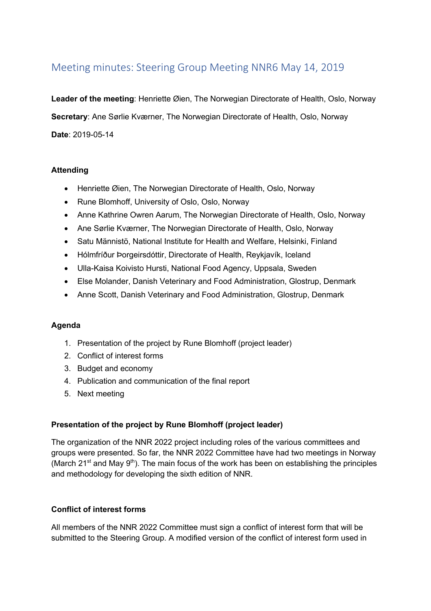# Meeting minutes: Steering Group Meeting NNR6 May 14, 2019

**Leader of the meeting**: Henriette Øien, The Norwegian Directorate of Health, Oslo, Norway

**Secretary**: Ane Sørlie Kværner, The Norwegian Directorate of Health, Oslo, Norway

**Date**: 2019-05-14

# **Attending**

- Henriette Øien, The Norwegian Directorate of Health, Oslo, Norway
- Rune Blomhoff, University of Oslo, Oslo, Norway
- Anne Kathrine Owren Aarum, The Norwegian Directorate of Health, Oslo, Norway
- Ane Sørlie Kværner, The Norwegian Directorate of Health, Oslo, Norway
- Satu Männistö, National Institute for Health and Welfare, Helsinki, Finland
- Hólmfríður Þorgeirsdóttir, Directorate of Health, Reykjavík, Iceland
- Ulla-Kaisa Koivisto Hursti, National Food Agency, Uppsala, Sweden
- Else Molander, Danish Veterinary and Food Administration, Glostrup, Denmark
- Anne Scott, Danish Veterinary and Food Administration, Glostrup, Denmark

#### **Agenda**

- 1. Presentation of the project by Rune Blomhoff (project leader)
- 2. Conflict of interest forms
- 3. Budget and economy
- 4. Publication and communication of the final report
- 5. Next meeting

#### **Presentation of the project by Rune Blomhoff (project leader)**

The organization of the NNR 2022 project including roles of the various committees and groups were presented. So far, the NNR 2022 Committee have had two meetings in Norway (March 21<sup>st</sup> and May 9<sup>th</sup>). The main focus of the work has been on establishing the principles and methodology for developing the sixth edition of NNR.

#### **Conflict of interest forms**

All members of the NNR 2022 Committee must sign a conflict of interest form that will be submitted to the Steering Group. A modified version of the conflict of interest form used in